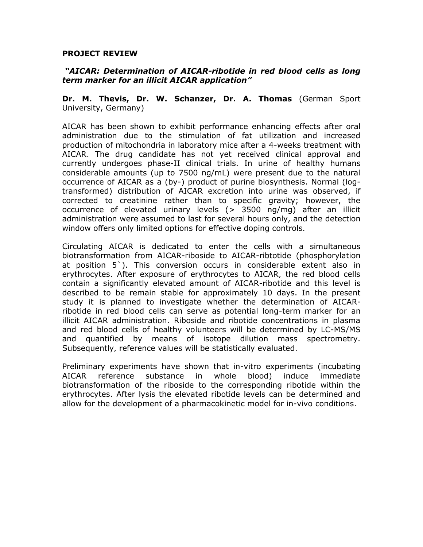## **PROJECT REVIEW**

## *"AICAR: Determination of AICAR-ribotide in red blood cells as long term marker for an illicit AICAR application"*

**Dr. M. Thevis, Dr. W. Schanzer, Dr. A. Thomas** (German Sport University, Germany)

AICAR has been shown to exhibit performance enhancing effects after oral administration due to the stimulation of fat utilization and increased production of mitochondria in laboratory mice after a 4-weeks treatment with AICAR. The drug candidate has not yet received clinical approval and currently undergoes phase-II clinical trials. In urine of healthy humans considerable amounts (up to 7500 ng/mL) were present due to the natural occurrence of AICAR as a (by-) product of purine biosynthesis. Normal (logtransformed) distribution of AICAR excretion into urine was observed, if corrected to creatinine rather than to specific gravity; however, the occurrence of elevated urinary levels (> 3500 ng/mg) after an illicit administration were assumed to last for several hours only, and the detection window offers only limited options for effective doping controls.

Circulating AICAR is dedicated to enter the cells with a simultaneous biotransformation from AICAR-riboside to AICAR-ribtotide (phosphorylation at position 5`). This conversion occurs in considerable extent also in erythrocytes. After exposure of erythrocytes to AICAR, the red blood cells contain a significantly elevated amount of AICAR-ribotide and this level is described to be remain stable for approximately 10 days. In the present study it is planned to investigate whether the determination of AICARribotide in red blood cells can serve as potential long-term marker for an illicit AICAR administration. Riboside and ribotide concentrations in plasma and red blood cells of healthy volunteers will be determined by LC-MS/MS and quantified by means of isotope dilution mass spectrometry. Subsequently, reference values will be statistically evaluated.

Preliminary experiments have shown that in-vitro experiments (incubating AICAR reference substance in whole blood) induce immediate biotransformation of the riboside to the corresponding ribotide within the erythrocytes. After lysis the elevated ribotide levels can be determined and allow for the development of a pharmacokinetic model for in-vivo conditions.